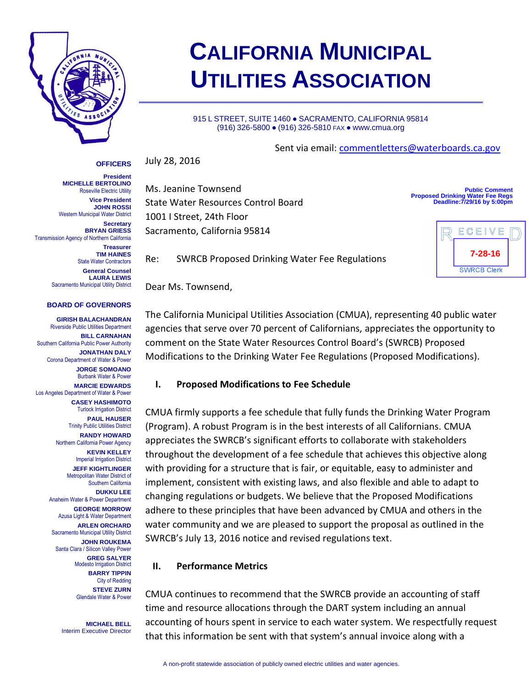

# **CALIFORNIA MUNICIPAL UTILITIES ASSOCIATION**

915 L STREET, SUITE 1460 · SACRAMENTO, CALIFORNIA 95814 (916) 326-5800 ● (916) 326-5810 FAX ● www.cmua.org

July 28, 2016 **OFFICERS**

**President MICHELLE BERTOLINO** Roseville Electric Utility **Vice President JOHN ROSSI** Western Municipal Water District **Secretary BRYAN GRIESS** Transmission Agency of Northern California

> **Treasurer TIM HAINES** State Water Contractors **General Counsel LAURA LEWIS** Sacramento Municipal Utility District

#### **BOARD OF GOVERNORS**

**GIRISH BALACHANDRAN** Riverside Public Utilities Department **BILL CARNAHAN** Southern California Public Power Authority **JONATHAN DALY** Corona Department of Water & Power **JORGE SOMOANO** Burbank Water & Power **MARCIE EDWARDS** Los Angeles Department of Water & Power **CASEY HASHIMOTO** Turlock Irrigation District **PAUL HAUSER** Trinity Public Utilities District **RANDY HOWARD** Northern California Power Agency **KEVIN KELLEY** Imperial Irrigation District **JEFF KIGHTLINGER** Metropolitan Water District of Southern California **DUKKU LEE** Anaheim Water & Power Department **GEORGE MORROW** Azusa Light & Water Department **ARLEN ORCHARD** Sacramento Municipal Utility District **JOHN ROUKEMA** Santa Clara / Silicon Valley Power **GREG SALYER** Modesto Irrigation District **BARRY TIPPIN** City of Redding **STEVE ZURN** Glendale Water & Power

> **MICHAEL BELL** Interim Executive Director

Sent via email: [commentletters@waterboards.ca.gov](mailto:commentletters@waterboards.ca.gov)

Ms. Jeanine Townsend State Water Resources Control Board 1001 I Street, 24th Floor Sacramento, California 95814

**Public Comment Proposed Drinking Water Fee Regs Deadline:7/29/16 by 5:00pm**



Re: SWRCB Proposed Drinking Water Fee Regulations

Dear Ms. Townsend,

The California Municipal Utilities Association (CMUA), representing 40 public water agencies that serve over 70 percent of Californians, appreciates the opportunity to comment on the State Water Resources Control Board's (SWRCB) Proposed Modifications to the Drinking Water Fee Regulations (Proposed Modifications).

### **I. Proposed Modifications to Fee Schedule**

CMUA firmly supports a fee schedule that fully funds the Drinking Water Program (Program). A robust Program is in the best interests of all Californians. CMUA appreciates the SWRCB's significant efforts to collaborate with stakeholders throughout the development of a fee schedule that achieves this objective along with providing for a structure that is fair, or equitable, easy to administer and implement, consistent with existing laws, and also flexible and able to adapt to changing regulations or budgets. We believe that the Proposed Modifications adhere to these principles that have been advanced by CMUA and others in the water community and we are pleased to support the proposal as outlined in the SWRCB's July 13, 2016 notice and revised regulations text.

### **II. Performance Metrics**

CMUA continues to recommend that the SWRCB provide an accounting of staff time and resource allocations through the DART system including an annual accounting of hours spent in service to each water system. We respectfully request that this information be sent with that system's annual invoice along with a